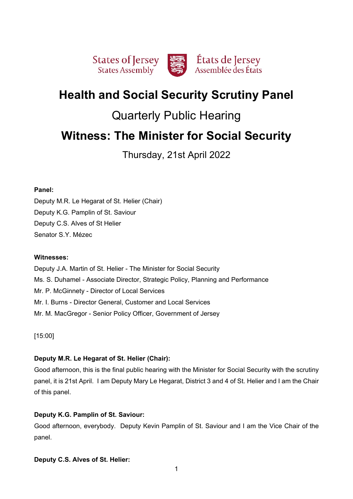

# **Health and Social Security Scrutiny Panel**

# Quarterly Public Hearing

# **Witness: The Minister for Social Security**

Thursday, 21st April 2022

## **Panel:**

Deputy M.R. Le Hegarat of St. Helier (Chair) Deputy K.G. Pamplin of St. Saviour Deputy C.S. Alves of St Helier Senator S.Y. Mézec

## **Witnesses:**

Deputy J.A. Martin of St. Helier - The Minister for Social Security Ms. S. Duhamel - Associate Director, Strategic Policy, Planning and Performance Mr. P. McGinnety - Director of Local Services Mr. I. Burns - Director General, Customer and Local Services Mr. M. MacGregor - Senior Policy Officer, Government of Jersey

[15:00]

# **Deputy M.R. Le Hegarat of St. Helier (Chair):**

Good afternoon, this is the final public hearing with the Minister for Social Security with the scrutiny panel, it is 21st April. I am Deputy Mary Le Hegarat, District 3 and 4 of St. Helier and I am the Chair of this panel.

# **Deputy K.G. Pamplin of St. Saviour:**

Good afternoon, everybody. Deputy Kevin Pamplin of St. Saviour and I am the Vice Chair of the panel.

# **Deputy C.S. Alves of St. Helier:**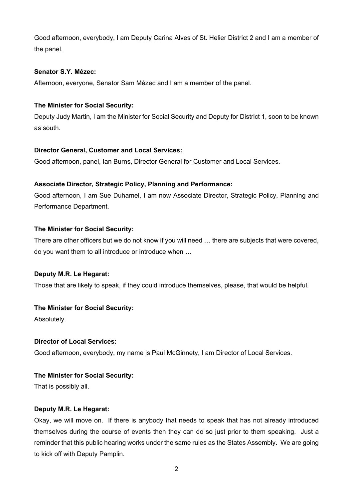Good afternoon, everybody, I am Deputy Carina Alves of St. Helier District 2 and I am a member of the panel.

# **Senator S.Y. Mézec:**

Afternoon, everyone, Senator Sam Mézec and I am a member of the panel.

# **The Minister for Social Security:**

Deputy Judy Martin, I am the Minister for Social Security and Deputy for District 1, soon to be known as south.

# **Director General, Customer and Local Services:**

Good afternoon, panel, Ian Burns, Director General for Customer and Local Services.

# **Associate Director, Strategic Policy, Planning and Performance:**

Good afternoon, I am Sue Duhamel, I am now Associate Director, Strategic Policy, Planning and Performance Department.

# **The Minister for Social Security:**

There are other officers but we do not know if you will need … there are subjects that were covered, do you want them to all introduce or introduce when …

# **Deputy M.R. Le Hegarat:**

Those that are likely to speak, if they could introduce themselves, please, that would be helpful.

# **The Minister for Social Security:**

Absolutely.

# **Director of Local Services:**

Good afternoon, everybody, my name is Paul McGinnety, I am Director of Local Services.

# **The Minister for Social Security:**

That is possibly all.

## **Deputy M.R. Le Hegarat:**

Okay, we will move on. If there is anybody that needs to speak that has not already introduced themselves during the course of events then they can do so just prior to them speaking. Just a reminder that this public hearing works under the same rules as the States Assembly. We are going to kick off with Deputy Pamplin.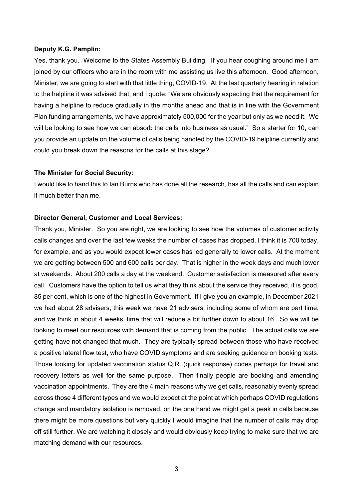#### **Deputy K.G. Pamplin:**

Yes, thank you. Welcome to the States Assembly Building. If you hear coughing around me I am joined by our officers who are in the room with me assisting us live this afternoon. Good afternoon, Minister, we are going to start with that little thing, COVID-19. At the last quarterly hearing in relation to the helpline it was advised that, and I quote: "We are obviously expecting that the requirement for having a helpline to reduce gradually in the months ahead and that is in line with the Government Plan funding arrangements, we have approximately 500,000 for the year but only as we need it. We will be looking to see how we can absorb the calls into business as usual." So a starter for 10, can you provide an update on the volume of calls being handled by the COVID-19 helpline currently and could you break down the reasons for the calls at this stage?

#### **The Minister for Social Security:**

I would like to hand this to Ian Burns who has done all the research, has all the calls and can explain it much better than me.

## **Director General, Customer and Local Services:**

Thank you, Minister. So you are right, we are looking to see how the volumes of customer activity calls changes and over the last few weeks the number of cases has dropped, I think it is 700 today, for example, and as you would expect lower cases has led generally to lower calls. At the moment we are getting between 500 and 600 calls per day. That is higher in the week days and much lower at weekends. About 200 calls a day at the weekend. Customer satisfaction is measured after every call. Customers have the option to tell us what they think about the service they received, it is good, 85 per cent, which is one of the highest in Government. If I give you an example, in December 2021 we had about 28 advisers, this week we have 21 advisers, including some of whom are part time, and we think in about 4 weeks' time that will reduce a bit further down to about 16. So we will be looking to meet our resources with demand that is coming from the public. The actual calls we are getting have not changed that much. They are typically spread between those who have received a positive lateral flow test, who have COVID symptoms and are seeking guidance on booking tests. Those looking for updated vaccination status Q.R. (quick response) codes perhaps for travel and recovery letters as well for the same purpose. Then finally people are booking and amending vaccination appointments. They are the 4 main reasons why we get calls, reasonably evenly spread across those 4 different types and we would expect at the point at which perhaps COVID regulations change and mandatory isolation is removed, on the one hand we might get a peak in calls because there might be more questions but very quickly I would imagine that the number of calls may drop off still further. We are watching it closely and would obviously keep trying to make sure that we are matching demand with our resources.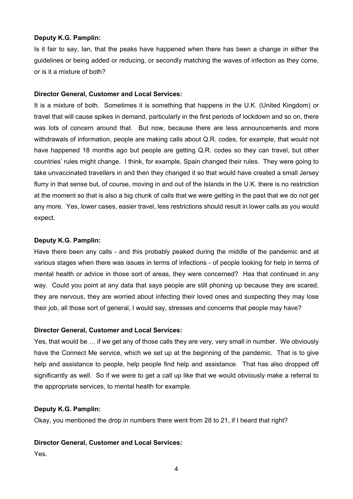## **Deputy K.G. Pamplin:**

Is it fair to say, Ian, that the peaks have happened when there has been a change in either the guidelines or being added or reducing, or secondly matching the waves of infection as they come, or is it a mixture of both?

#### **Director General, Customer and Local Services:**

It is a mixture of both. Sometimes it is something that happens in the U.K. (United Kingdom) or travel that will cause spikes in demand, particularly in the first periods of lockdown and so on, there was lots of concern around that. But now, because there are less announcements and more withdrawals of information, people are making calls about Q.R. codes, for example, that would not have happened 18 months ago but people are getting Q.R. codes so they can travel, but other countries' rules might change. I think, for example, Spain changed their rules. They were going to take unvaccinated travellers in and then they changed it so that would have created a small Jersey flurry in that sense but, of course, moving in and out of the Islands in the U.K. there is no restriction at the moment so that is also a big chunk of calls that we were getting in the past that we do not get any more. Yes, lower cases, easier travel, less restrictions should result in lower calls as you would expect.

# **Deputy K.G. Pamplin:**

Have there been any calls - and this probably peaked during the middle of the pandemic and at various stages when there was issues in terms of infections - of people looking for help in terms of mental health or advice in those sort of areas, they were concerned? Has that continued in any way. Could you point at any data that says people are still phoning up because they are scared, they are nervous, they are worried about infecting their loved ones and suspecting they may lose their job, all those sort of general, I would say, stresses and concerns that people may have?

## **Director General, Customer and Local Services:**

Yes, that would be … if we get any of those calls they are very, very small in number. We obviously have the Connect Me service, which we set up at the beginning of the pandemic. That is to give help and assistance to people, help people find help and assistance. That has also dropped off significantly as well. So if we were to get a call up like that we would obviously make a referral to the appropriate services, to mental health for example.

## **Deputy K.G. Pamplin:**

Okay, you mentioned the drop in numbers there went from 28 to 21, if I heard that right?

#### **Director General, Customer and Local Services:**

Yes.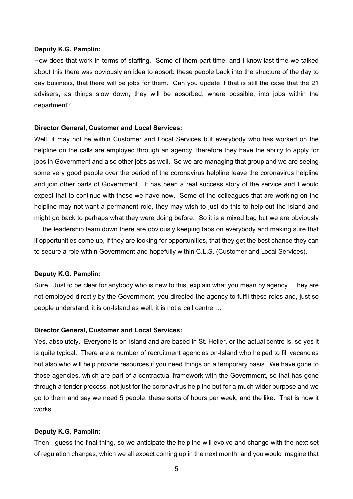#### **Deputy K.G. Pamplin:**

How does that work in terms of staffing. Some of them part-time, and I know last time we talked about this there was obviously an idea to absorb these people back into the structure of the day to day business, that there will be jobs for them. Can you update if that is still the case that the 21 advisers, as things slow down, they will be absorbed, where possible, into jobs within the department?

#### **Director General, Customer and Local Services:**

Well, it may not be within Customer and Local Services but everybody who has worked on the helpline on the calls are employed through an agency, therefore they have the ability to apply for jobs in Government and also other jobs as well. So we are managing that group and we are seeing some very good people over the period of the coronavirus helpline leave the coronavirus helpline and join other parts of Government. It has been a real success story of the service and I would expect that to continue with those we have now. Some of the colleagues that are working on the helpline may not want a permanent role, they may wish to just do this to help out the Island and might go back to perhaps what they were doing before. So it is a mixed bag but we are obviously … the leadership team down there are obviously keeping tabs on everybody and making sure that if opportunities come up, if they are looking for opportunities, that they get the best chance they can to secure a role within Government and hopefully within C.L.S. (Customer and Local Services).

#### **Deputy K.G. Pamplin:**

Sure. Just to be clear for anybody who is new to this, explain what you mean by agency. They are not employed directly by the Government, you directed the agency to fulfil these roles and, just so people understand, it is on-Island as well, it is not a call centre …

#### **Director General, Customer and Local Services:**

Yes, absolutely. Everyone is on-Island and are based in St. Helier, or the actual centre is, so yes it is quite typical. There are a number of recruitment agencies on-Island who helped to fill vacancies but also who will help provide resources if you need things on a temporary basis. We have gone to those agencies, which are part of a contractual framework with the Government, so that has gone through a tender process, not just for the coronavirus helpline but for a much wider purpose and we go to them and say we need 5 people, these sorts of hours per week, and the like. That is how it works.

#### **Deputy K.G. Pamplin:**

Then I guess the final thing, so we anticipate the helpline will evolve and change with the next set of regulation changes, which we all expect coming up in the next month, and you would imagine that

5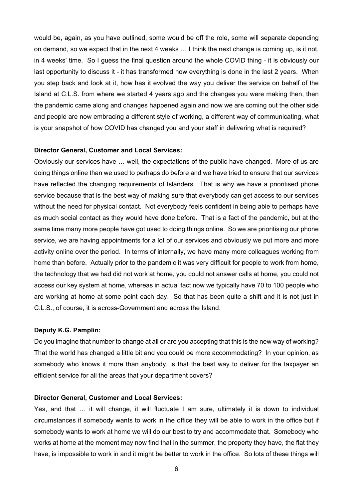would be, again, as you have outlined, some would be off the role, some will separate depending on demand, so we expect that in the next 4 weeks … I think the next change is coming up, is it not, in 4 weeks' time. So I guess the final question around the whole COVID thing - it is obviously our last opportunity to discuss it - it has transformed how everything is done in the last 2 years. When you step back and look at it, how has it evolved the way you deliver the service on behalf of the Island at C.L.S. from where we started 4 years ago and the changes you were making then, then the pandemic came along and changes happened again and now we are coming out the other side and people are now embracing a different style of working, a different way of communicating, what is your snapshot of how COVID has changed you and your staff in delivering what is required?

#### **Director General, Customer and Local Services:**

Obviously our services have … well, the expectations of the public have changed. More of us are doing things online than we used to perhaps do before and we have tried to ensure that our services have reflected the changing requirements of Islanders. That is why we have a prioritised phone service because that is the best way of making sure that everybody can get access to our services without the need for physical contact. Not everybody feels confident in being able to perhaps have as much social contact as they would have done before. That is a fact of the pandemic, but at the same time many more people have got used to doing things online. So we are prioritising our phone service, we are having appointments for a lot of our services and obviously we put more and more activity online over the period. In terms of internally, we have many more colleagues working from home than before. Actually prior to the pandemic it was very difficult for people to work from home, the technology that we had did not work at home, you could not answer calls at home, you could not access our key system at home, whereas in actual fact now we typically have 70 to 100 people who are working at home at some point each day. So that has been quite a shift and it is not just in C.L.S., of course, it is across-Government and across the Island.

#### **Deputy K.G. Pamplin:**

Do you imagine that number to change at all or are you accepting that this is the new way of working? That the world has changed a little bit and you could be more accommodating? In your opinion, as somebody who knows it more than anybody, is that the best way to deliver for the taxpayer an efficient service for all the areas that your department covers?

#### **Director General, Customer and Local Services:**

Yes, and that … it will change, it will fluctuate I am sure, ultimately it is down to individual circumstances if somebody wants to work in the office they will be able to work in the office but if somebody wants to work at home we will do our best to try and accommodate that. Somebody who works at home at the moment may now find that in the summer, the property they have, the flat they have, is impossible to work in and it might be better to work in the office. So lots of these things will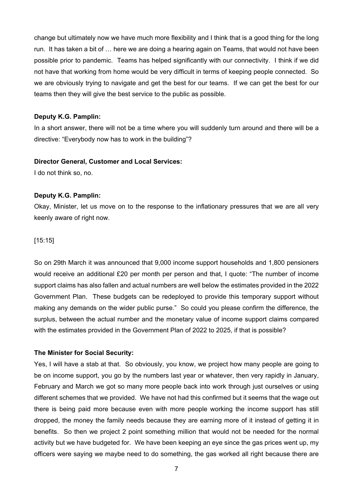change but ultimately now we have much more flexibility and I think that is a good thing for the long run. It has taken a bit of … here we are doing a hearing again on Teams, that would not have been possible prior to pandemic. Teams has helped significantly with our connectivity. I think if we did not have that working from home would be very difficult in terms of keeping people connected. So we are obviously trying to navigate and get the best for our teams. If we can get the best for our teams then they will give the best service to the public as possible.

## **Deputy K.G. Pamplin:**

In a short answer, there will not be a time where you will suddenly turn around and there will be a directive: "Everybody now has to work in the building"?

#### **Director General, Customer and Local Services:**

I do not think so, no.

## **Deputy K.G. Pamplin:**

Okay, Minister, let us move on to the response to the inflationary pressures that we are all very keenly aware of right now.

#### [15:15]

So on 29th March it was announced that 9,000 income support households and 1,800 pensioners would receive an additional £20 per month per person and that, I quote: "The number of income support claims has also fallen and actual numbers are well below the estimates provided in the 2022 Government Plan. These budgets can be redeployed to provide this temporary support without making any demands on the wider public purse." So could you please confirm the difference, the surplus, between the actual number and the monetary value of income support claims compared with the estimates provided in the Government Plan of 2022 to 2025, if that is possible?

#### **The Minister for Social Security:**

Yes, I will have a stab at that. So obviously, you know, we project how many people are going to be on income support, you go by the numbers last year or whatever, then very rapidly in January, February and March we got so many more people back into work through just ourselves or using different schemes that we provided. We have not had this confirmed but it seems that the wage out there is being paid more because even with more people working the income support has still dropped, the money the family needs because they are earning more of it instead of getting it in benefits. So then we project 2 point something million that would not be needed for the normal activity but we have budgeted for. We have been keeping an eye since the gas prices went up, my officers were saying we maybe need to do something, the gas worked all right because there are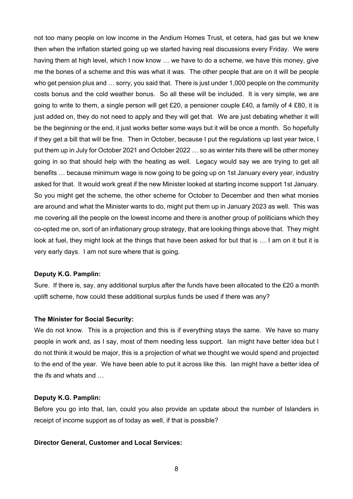not too many people on low income in the Andium Homes Trust, et cetera, had gas but we knew then when the inflation started going up we started having real discussions every Friday. We were having them at high level, which I now know … we have to do a scheme, we have this money, give me the bones of a scheme and this was what it was. The other people that are on it will be people who get pension plus and … sorry, you said that. There is just under 1,000 people on the community costs bonus and the cold weather bonus. So all these will be included. It is very simple, we are going to write to them, a single person will get £20, a pensioner couple £40, a family of 4 £80, it is just added on, they do not need to apply and they will get that. We are just debating whether it will be the beginning or the end, it just works better some ways but it will be once a month. So hopefully if they get a bill that will be fine. Then in October, because I put the regulations up last year twice, I put them up in July for October 2021 and October 2022 … so as winter hits there will be other money going in so that should help with the heating as well. Legacy would say we are trying to get all benefits … because minimum wage is now going to be going up on 1st January every year, industry asked for that. It would work great if the new Minister looked at starting income support 1st January. So you might get the scheme, the other scheme for October to December and then what monies are around and what the Minister wants to do, might put them up in January 2023 as well. This was me covering all the people on the lowest income and there is another group of politicians which they co-opted me on, sort of an inflationary group strategy, that are looking things above that. They might look at fuel, they might look at the things that have been asked for but that is … I am on it but it is very early days. I am not sure where that is going.

## **Deputy K.G. Pamplin:**

Sure. If there is, say, any additional surplus after the funds have been allocated to the £20 a month uplift scheme, how could these additional surplus funds be used if there was any?

## **The Minister for Social Security:**

We do not know. This is a projection and this is if everything stays the same. We have so many people in work and, as I say, most of them needing less support. Ian might have better idea but I do not think it would be major, this is a projection of what we thought we would spend and projected to the end of the year. We have been able to put it across like this. Ian might have a better idea of the ifs and whats and …

#### **Deputy K.G. Pamplin:**

Before you go into that, Ian, could you also provide an update about the number of Islanders in receipt of income support as of today as well, if that is possible?

## **Director General, Customer and Local Services:**

8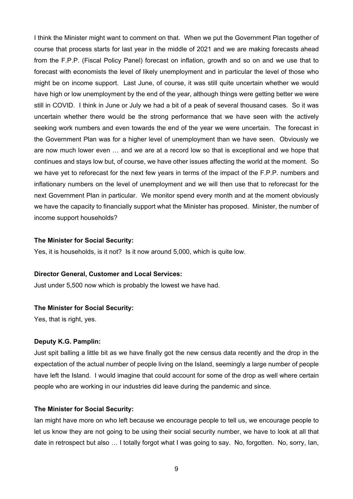I think the Minister might want to comment on that. When we put the Government Plan together of course that process starts for last year in the middle of 2021 and we are making forecasts ahead from the F.P.P. (Fiscal Policy Panel) forecast on inflation, growth and so on and we use that to forecast with economists the level of likely unemployment and in particular the level of those who might be on income support. Last June, of course, it was still quite uncertain whether we would have high or low unemployment by the end of the year, although things were getting better we were still in COVID. I think in June or July we had a bit of a peak of several thousand cases. So it was uncertain whether there would be the strong performance that we have seen with the actively seeking work numbers and even towards the end of the year we were uncertain. The forecast in the Government Plan was for a higher level of unemployment than we have seen. Obviously we are now much lower even … and we are at a record low so that is exceptional and we hope that continues and stays low but, of course, we have other issues affecting the world at the moment. So we have yet to reforecast for the next few years in terms of the impact of the F.P.P. numbers and inflationary numbers on the level of unemployment and we will then use that to reforecast for the next Government Plan in particular. We monitor spend every month and at the moment obviously we have the capacity to financially support what the Minister has proposed. Minister, the number of income support households?

## **The Minister for Social Security:**

Yes, it is households, is it not? Is it now around 5,000, which is quite low.

#### **Director General, Customer and Local Services:**

Just under 5,500 now which is probably the lowest we have had.

## **The Minister for Social Security:**

Yes, that is right, yes.

#### **Deputy K.G. Pamplin:**

Just spit balling a little bit as we have finally got the new census data recently and the drop in the expectation of the actual number of people living on the Island, seemingly a large number of people have left the Island. I would imagine that could account for some of the drop as well where certain people who are working in our industries did leave during the pandemic and since.

#### **The Minister for Social Security:**

Ian might have more on who left because we encourage people to tell us, we encourage people to let us know they are not going to be using their social security number, we have to look at all that date in retrospect but also … I totally forgot what I was going to say. No, forgotten. No, sorry, Ian,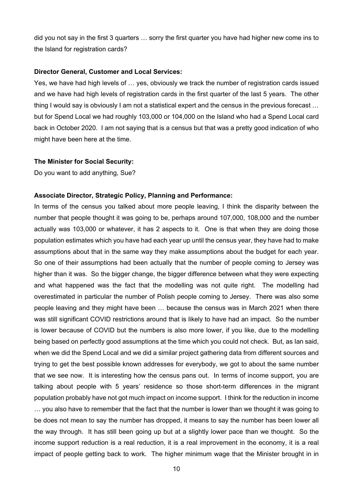did you not say in the first 3 quarters … sorry the first quarter you have had higher new come ins to the Island for registration cards?

#### **Director General, Customer and Local Services:**

Yes, we have had high levels of … yes, obviously we track the number of registration cards issued and we have had high levels of registration cards in the first quarter of the last 5 years. The other thing I would say is obviously I am not a statistical expert and the census in the previous forecast … but for Spend Local we had roughly 103,000 or 104,000 on the Island who had a Spend Local card back in October 2020. I am not saying that is a census but that was a pretty good indication of who might have been here at the time.

#### **The Minister for Social Security:**

Do you want to add anything, Sue?

#### **Associate Director, Strategic Policy, Planning and Performance:**

In terms of the census you talked about more people leaving, I think the disparity between the number that people thought it was going to be, perhaps around 107,000, 108,000 and the number actually was 103,000 or whatever, it has 2 aspects to it. One is that when they are doing those population estimates which you have had each year up until the census year, they have had to make assumptions about that in the same way they make assumptions about the budget for each year. So one of their assumptions had been actually that the number of people coming to Jersey was higher than it was. So the bigger change, the bigger difference between what they were expecting and what happened was the fact that the modelling was not quite right. The modelling had overestimated in particular the number of Polish people coming to Jersey. There was also some people leaving and they might have been … because the census was in March 2021 when there was still significant COVID restrictions around that is likely to have had an impact. So the number is lower because of COVID but the numbers is also more lower, if you like, due to the modelling being based on perfectly good assumptions at the time which you could not check. But, as Ian said, when we did the Spend Local and we did a similar project gathering data from different sources and trying to get the best possible known addresses for everybody, we got to about the same number that we see now. It is interesting how the census pans out. In terms of income support, you are talking about people with 5 years' residence so those short-term differences in the migrant population probably have not got much impact on income support. I think for the reduction in income … you also have to remember that the fact that the number is lower than we thought it was going to be does not mean to say the number has dropped, it means to say the number has been lower all the way through. It has still been going up but at a slightly lower pace than we thought. So the income support reduction is a real reduction, it is a real improvement in the economy, it is a real impact of people getting back to work. The higher minimum wage that the Minister brought in in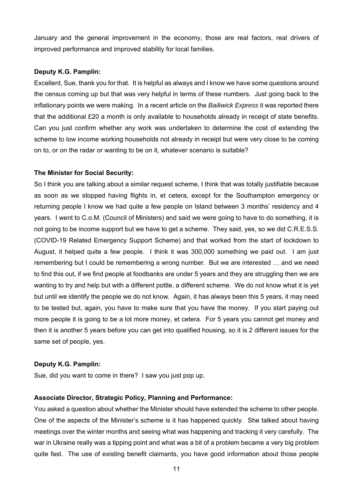January and the general improvement in the economy, those are real factors, real drivers of improved performance and improved stability for local families.

## **Deputy K.G. Pamplin:**

Excellent, Sue, thank you for that. It is helpful as always and I know we have some questions around the census coming up but that was very helpful in terms of these numbers. Just going back to the inflationary points we were making. In a recent article on the *Bailiwick Express* it was reported there that the additional £20 a month is only available to households already in receipt of state benefits. Can you just confirm whether any work was undertaken to determine the cost of extending the scheme to low income working households not already in receipt but were very close to be coming on to, or on the radar or wanting to be on it, whatever scenario is suitable?

## **The Minister for Social Security:**

So I think you are talking about a similar request scheme, I think that was totally justifiable because as soon as we stopped having flights in, et cetera, except for the Southampton emergency or returning people I know we had quite a few people on Island between 3 months' residency and 4 years. I went to C.o.M. (Council of Ministers) and said we were going to have to do something, it is not going to be income support but we have to get a scheme. They said, yes, so we did C.R.E.S.S. (COVID-19 Related Emergency Support Scheme) and that worked from the start of lockdown to August, it helped quite a few people. I think it was 300,000 something we paid out. I am just remembering but I could be remembering a wrong number. But we are interested … and we need to find this out, if we find people at foodbanks are under 5 years and they are struggling then we are wanting to try and help but with a different pottle, a different scheme. We do not know what it is yet but until we identify the people we do not know. Again, it has always been this 5 years, it may need to be tested but, again, you have to make sure that you have the money. If you start paying out more people it is going to be a lot more money, et cetera. For 5 years you cannot get money and then it is another 5 years before you can get into qualified housing, so it is 2 different issues for the same set of people, yes.

## **Deputy K.G. Pamplin:**

Sue, did you want to come in there? I saw you just pop up.

## **Associate Director, Strategic Policy, Planning and Performance:**

You asked a question about whether the Minister should have extended the scheme to other people. One of the aspects of the Minister's scheme is it has happened quickly. She talked about having meetings over the winter months and seeing what was happening and tracking it very carefully. The war in Ukraine really was a tipping point and what was a bit of a problem became a very big problem quite fast. The use of existing benefit claimants, you have good information about those people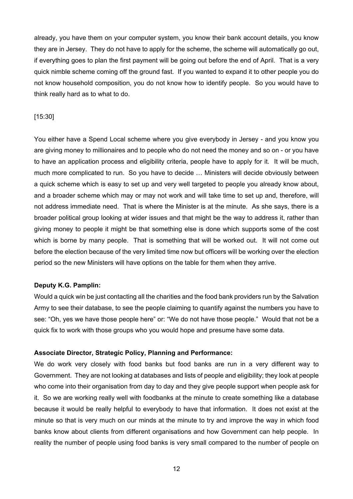already, you have them on your computer system, you know their bank account details, you know they are in Jersey. They do not have to apply for the scheme, the scheme will automatically go out, if everything goes to plan the first payment will be going out before the end of April. That is a very quick nimble scheme coming off the ground fast. If you wanted to expand it to other people you do not know household composition, you do not know how to identify people. So you would have to think really hard as to what to do.

## [15:30]

You either have a Spend Local scheme where you give everybody in Jersey - and you know you are giving money to millionaires and to people who do not need the money and so on - or you have to have an application process and eligibility criteria, people have to apply for it. It will be much, much more complicated to run. So you have to decide … Ministers will decide obviously between a quick scheme which is easy to set up and very well targeted to people you already know about, and a broader scheme which may or may not work and will take time to set up and, therefore, will not address immediate need. That is where the Minister is at the minute. As she says, there is a broader political group looking at wider issues and that might be the way to address it, rather than giving money to people it might be that something else is done which supports some of the cost which is borne by many people. That is something that will be worked out. It will not come out before the election because of the very limited time now but officers will be working over the election period so the new Ministers will have options on the table for them when they arrive.

## **Deputy K.G. Pamplin:**

Would a quick win be just contacting all the charities and the food bank providers run by the Salvation Army to see their database, to see the people claiming to quantify against the numbers you have to see: "Oh, yes we have those people here" or: "We do not have those people." Would that not be a quick fix to work with those groups who you would hope and presume have some data.

#### **Associate Director, Strategic Policy, Planning and Performance:**

We do work very closely with food banks but food banks are run in a very different way to Government. They are not looking at databases and lists of people and eligibility; they look at people who come into their organisation from day to day and they give people support when people ask for it. So we are working really well with foodbanks at the minute to create something like a database because it would be really helpful to everybody to have that information. It does not exist at the minute so that is very much on our minds at the minute to try and improve the way in which food banks know about clients from different organisations and how Government can help people. In reality the number of people using food banks is very small compared to the number of people on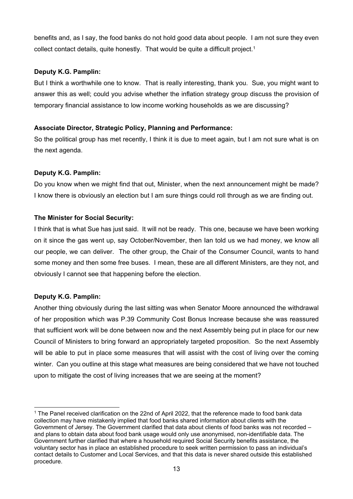benefits and, as I say, the food banks do not hold good data about people. I am not sure they even collect contact details, quite honestly. That would be quite a difficult project.<sup>1</sup>

# **Deputy K.G. Pamplin:**

But I think a worthwhile one to know. That is really interesting, thank you. Sue, you might want to answer this as well; could you advise whether the inflation strategy group discuss the provision of temporary financial assistance to low income working households as we are discussing?

# **Associate Director, Strategic Policy, Planning and Performance:**

So the political group has met recently, I think it is due to meet again, but I am not sure what is on the next agenda.

# **Deputy K.G. Pamplin:**

Do you know when we might find that out, Minister, when the next announcement might be made? I know there is obviously an election but I am sure things could roll through as we are finding out.

# **The Minister for Social Security:**

I think that is what Sue has just said. It will not be ready. This one, because we have been working on it since the gas went up, say October/November, then Ian told us we had money, we know all our people, we can deliver. The other group, the Chair of the Consumer Council, wants to hand some money and then some free buses. I mean, these are all different Ministers, are they not, and obviously I cannot see that happening before the election.

# **Deputy K.G. Pamplin:**

Another thing obviously during the last sitting was when Senator Moore announced the withdrawal of her proposition which was P.39 Community Cost Bonus Increase because she was reassured that sufficient work will be done between now and the next Assembly being put in place for our new Council of Ministers to bring forward an appropriately targeted proposition. So the next Assembly will be able to put in place some measures that will assist with the cost of living over the coming winter. Can you outline at this stage what measures are being considered that we have not touched upon to mitigate the cost of living increases that we are seeing at the moment?

<sup>1</sup> The Panel received clarification on the 22nd of April 2022, that the reference made to food bank data collection may have mistakenly implied that food banks shared information about clients with the Government of Jersey. The Government clarified that data about clients of food banks was not recorded – and plans to obtain data about food bank usage would only use anonymised, non-identifiable data. The Government further clarified that where a household required Social Security benefits assistance, the voluntary sector has in place an established procedure to seek written permission to pass an individual's contact details to Customer and Local Services, and that this data is never shared outside this established procedure.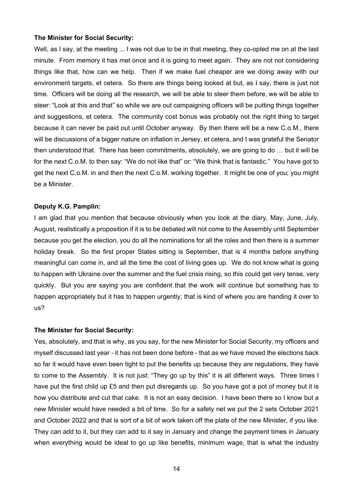#### **The Minister for Social Security:**

Well, as I say, at the meeting ... I was not due to be in that meeting, they co-opted me on at the last minute. From memory it has met once and it is going to meet again. They are not not considering things like that, how can we help. Then if we make fuel cheaper are we doing away with our environment targets, et cetera. So there are things being looked at but, as I say, there is just not time. Officers will be doing all the research, we will be able to steer them before, we will be able to steer: "Look at this and that" so while we are out campaigning officers will be putting things together and suggestions, et cetera. The community cost bonus was probably not the right thing to target because it can never be paid out until October anyway. By then there will be a new C.o.M., there will be discussions of a bigger nature on inflation in Jersey, et cetera, and I was grateful the Senator then understood that. There has been commitments, absolutely, we are going to do … but it will be for the next C.o.M. to then say: "We do not like that" or: "We think that is fantastic." You have got to get the next C.o.M. in and then the next C.o.M. working together. It might be one of you; you might be a Minister.

## **Deputy K.G. Pamplin:**

I am glad that you mention that because obviously when you look at the diary, May, June, July, August, realistically a proposition if it is to be debated will not come to the Assembly until September because you get the election, you do all the nominations for all the roles and then there is a summer holiday break. So the first proper States sitting is September, that is 4 months before anything meaningful can come in, and all the time the cost of living goes up. We do not know what is going to happen with Ukraine over the summer and the fuel crisis rising, so this could get very tense, very quickly. But you are saying you are confident that the work will continue but something has to happen appropriately but it has to happen urgently; that is kind of where you are handing it over to us?

#### **The Minister for Social Security:**

Yes, absolutely, and that is why, as you say, for the new Minister for Social Security, my officers and myself discussed last year - it has not been done before - that as we have moved the elections back so far it would have even been tight to put the benefits up because they are regulations, they have to come to the Assembly. It is not just: "They go up by this" it is all different ways. Three times I have put the first child up £5 and then put disregards up. So you have got a pot of money but it is how you distribute and cut that cake. It is not an easy decision. I have been there so I know but a new Minister would have needed a bit of time. So for a safety net we put the 2 sets October 2021 and October 2022 and that is sort of a bit of work taken off the plate of the new Minister, if you like. They can add to it, but they can add to it say in January and change the payment times in January when everything would be ideal to go up like benefits, minimum wage, that is what the industry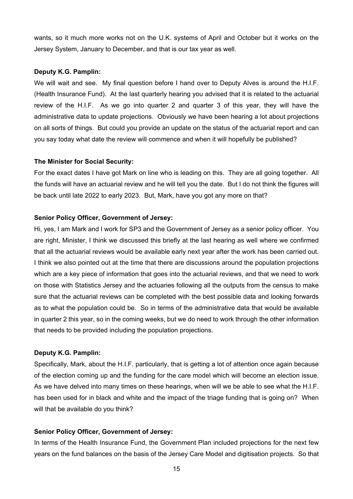wants, so it much more works not on the U.K. systems of April and October but it works on the Jersey System, January to December, and that is our tax year as well.

## **Deputy K.G. Pamplin:**

We will wait and see. My final question before I hand over to Deputy Alves is around the H.I.F. (Health Insurance Fund). At the last quarterly hearing you advised that it is related to the actuarial review of the H.I.F. As we go into quarter 2 and quarter 3 of this year, they will have the administrative data to update projections. Obviously we have been hearing a lot about projections on all sorts of things. But could you provide an update on the status of the actuarial report and can you say today what date the review will commence and when it will hopefully be published?

#### **The Minister for Social Security:**

For the exact dates I have got Mark on line who is leading on this. They are all going together. All the funds will have an actuarial review and he will tell you the date. But I do not think the figures will be back until late 2022 to early 2023. But, Mark, have you got any more on that?

## **Senior Policy Officer, Government of Jersey:**

Hi, yes, I am Mark and I work for SP3 and the Government of Jersey as a senior policy officer. You are right, Minister, I think we discussed this briefly at the last hearing as well where we confirmed that all the actuarial reviews would be available early next year after the work has been carried out. I think we also pointed out at the time that there are discussions around the population projections which are a key piece of information that goes into the actuarial reviews, and that we need to work on those with Statistics Jersey and the actuaries following all the outputs from the census to make sure that the actuarial reviews can be completed with the best possible data and looking forwards as to what the population could be. So in terms of the administrative data that would be available in quarter 2 this year, so in the coming weeks, but we do need to work through the other information that needs to be provided including the population projections.

#### **Deputy K.G. Pamplin:**

Specifically, Mark, about the H.I.F. particularly, that is getting a lot of attention once again because of the election coming up and the funding for the care model which will become an election issue. As we have delved into many times on these hearings, when will we be able to see what the H.I.F. has been used for in black and white and the impact of the triage funding that is going on? When will that be available do you think?

## **Senior Policy Officer, Government of Jersey:**

In terms of the Health Insurance Fund, the Government Plan included projections for the next few years on the fund balances on the basis of the Jersey Care Model and digitisation projects. So that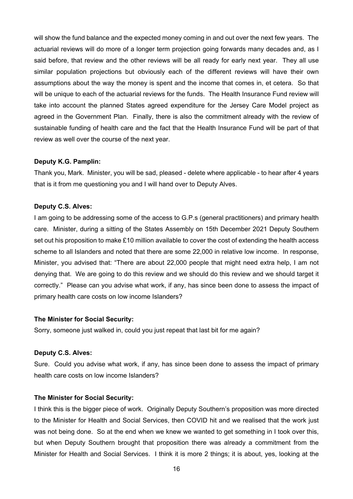will show the fund balance and the expected money coming in and out over the next few years. The actuarial reviews will do more of a longer term projection going forwards many decades and, as I said before, that review and the other reviews will be all ready for early next year. They all use similar population projections but obviously each of the different reviews will have their own assumptions about the way the money is spent and the income that comes in, et cetera. So that will be unique to each of the actuarial reviews for the funds. The Health Insurance Fund review will take into account the planned States agreed expenditure for the Jersey Care Model project as agreed in the Government Plan. Finally, there is also the commitment already with the review of sustainable funding of health care and the fact that the Health Insurance Fund will be part of that review as well over the course of the next year.

#### **Deputy K.G. Pamplin:**

Thank you, Mark. Minister, you will be sad, pleased - delete where applicable - to hear after 4 years that is it from me questioning you and I will hand over to Deputy Alves.

## **Deputy C.S. Alves:**

I am going to be addressing some of the access to G.P.s (general practitioners) and primary health care. Minister, during a sitting of the States Assembly on 15th December 2021 Deputy Southern set out his proposition to make £10 million available to cover the cost of extending the health access scheme to all Islanders and noted that there are some 22,000 in relative low income. In response, Minister, you advised that: "There are about 22,000 people that might need extra help, I am not denying that. We are going to do this review and we should do this review and we should target it correctly." Please can you advise what work, if any, has since been done to assess the impact of primary health care costs on low income Islanders?

#### **The Minister for Social Security:**

Sorry, someone just walked in, could you just repeat that last bit for me again?

## **Deputy C.S. Alves:**

Sure. Could you advise what work, if any, has since been done to assess the impact of primary health care costs on low income Islanders?

#### **The Minister for Social Security:**

I think this is the bigger piece of work. Originally Deputy Southern's proposition was more directed to the Minister for Health and Social Services, then COVID hit and we realised that the work just was not being done. So at the end when we knew we wanted to get something in I took over this, but when Deputy Southern brought that proposition there was already a commitment from the Minister for Health and Social Services. I think it is more 2 things; it is about, yes, looking at the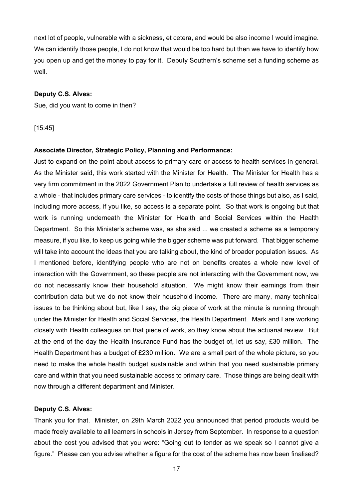next lot of people, vulnerable with a sickness, et cetera, and would be also income I would imagine. We can identify those people, I do not know that would be too hard but then we have to identify how you open up and get the money to pay for it. Deputy Southern's scheme set a funding scheme as well.

## **Deputy C.S. Alves:**

Sue, did you want to come in then?

[15:45]

#### **Associate Director, Strategic Policy, Planning and Performance:**

Just to expand on the point about access to primary care or access to health services in general. As the Minister said, this work started with the Minister for Health. The Minister for Health has a very firm commitment in the 2022 Government Plan to undertake a full review of health services as a whole - that includes primary care services - to identify the costs of those things but also, as I said, including more access, if you like, so access is a separate point. So that work is ongoing but that work is running underneath the Minister for Health and Social Services within the Health Department. So this Minister's scheme was, as she said ... we created a scheme as a temporary measure, if you like, to keep us going while the bigger scheme was put forward. That bigger scheme will take into account the ideas that you are talking about, the kind of broader population issues. As I mentioned before, identifying people who are not on benefits creates a whole new level of interaction with the Government, so these people are not interacting with the Government now, we do not necessarily know their household situation. We might know their earnings from their contribution data but we do not know their household income. There are many, many technical issues to be thinking about but, like I say, the big piece of work at the minute is running through under the Minister for Health and Social Services, the Health Department. Mark and I are working closely with Health colleagues on that piece of work, so they know about the actuarial review. But at the end of the day the Health Insurance Fund has the budget of, let us say, £30 million. The Health Department has a budget of £230 million. We are a small part of the whole picture, so you need to make the whole health budget sustainable and within that you need sustainable primary care and within that you need sustainable access to primary care. Those things are being dealt with now through a different department and Minister.

#### **Deputy C.S. Alves:**

Thank you for that. Minister, on 29th March 2022 you announced that period products would be made freely available to all learners in schools in Jersey from September. In response to a question about the cost you advised that you were: "Going out to tender as we speak so I cannot give a figure." Please can you advise whether a figure for the cost of the scheme has now been finalised?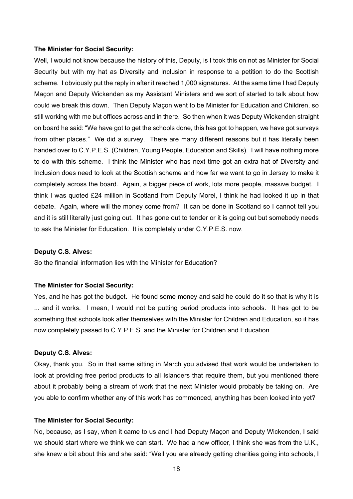#### **The Minister for Social Security:**

Well, I would not know because the history of this, Deputy, is I took this on not as Minister for Social Security but with my hat as Diversity and Inclusion in response to a petition to do the Scottish scheme. I obviously put the reply in after it reached 1,000 signatures. At the same time I had Deputy Maçon and Deputy Wickenden as my Assistant Ministers and we sort of started to talk about how could we break this down. Then Deputy Maçon went to be Minister for Education and Children, so still working with me but offices across and in there. So then when it was Deputy Wickenden straight on board he said: "We have got to get the schools done, this has got to happen, we have got surveys from other places." We did a survey. There are many different reasons but it has literally been handed over to C.Y.P.E.S. (Children, Young People, Education and Skills). I will have nothing more to do with this scheme. I think the Minister who has next time got an extra hat of Diversity and Inclusion does need to look at the Scottish scheme and how far we want to go in Jersey to make it completely across the board. Again, a bigger piece of work, lots more people, massive budget. I think I was quoted £24 million in Scotland from Deputy Morel, I think he had looked it up in that debate. Again, where will the money come from? It can be done in Scotland so I cannot tell you and it is still literally just going out. It has gone out to tender or it is going out but somebody needs to ask the Minister for Education. It is completely under C.Y.P.E.S. now.

#### **Deputy C.S. Alves:**

So the financial information lies with the Minister for Education?

## **The Minister for Social Security:**

Yes, and he has got the budget. He found some money and said he could do it so that is why it is ... and it works. I mean, I would not be putting period products into schools. It has got to be something that schools look after themselves with the Minister for Children and Education, so it has now completely passed to C.Y.P.E.S. and the Minister for Children and Education.

## **Deputy C.S. Alves:**

Okay, thank you. So in that same sitting in March you advised that work would be undertaken to look at providing free period products to all Islanders that require them, but you mentioned there about it probably being a stream of work that the next Minister would probably be taking on. Are you able to confirm whether any of this work has commenced, anything has been looked into yet?

#### **The Minister for Social Security:**

No, because, as I say, when it came to us and I had Deputy Maçon and Deputy Wickenden, I said we should start where we think we can start. We had a new officer, I think she was from the U.K., she knew a bit about this and she said: "Well you are already getting charities going into schools, I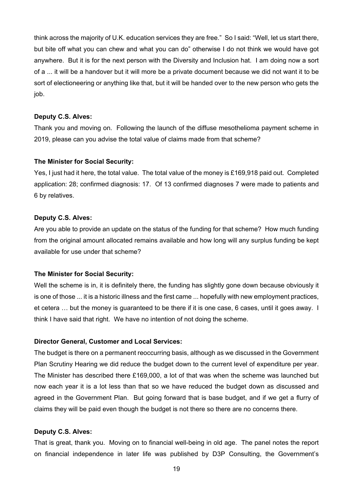think across the majority of U.K. education services they are free." So I said: "Well, let us start there, but bite off what you can chew and what you can do" otherwise I do not think we would have got anywhere. But it is for the next person with the Diversity and Inclusion hat. I am doing now a sort of a ... it will be a handover but it will more be a private document because we did not want it to be sort of electioneering or anything like that, but it will be handed over to the new person who gets the job.

## **Deputy C.S. Alves:**

Thank you and moving on. Following the launch of the diffuse mesothelioma payment scheme in 2019, please can you advise the total value of claims made from that scheme?

#### **The Minister for Social Security:**

Yes, I just had it here, the total value. The total value of the money is £169,918 paid out. Completed application: 28; confirmed diagnosis: 17. Of 13 confirmed diagnoses 7 were made to patients and 6 by relatives.

## **Deputy C.S. Alves:**

Are you able to provide an update on the status of the funding for that scheme? How much funding from the original amount allocated remains available and how long will any surplus funding be kept available for use under that scheme?

#### **The Minister for Social Security:**

Well the scheme is in, it is definitely there, the funding has slightly gone down because obviously it is one of those ... it is a historic illness and the first came ... hopefully with new employment practices, et cetera … but the money is guaranteed to be there if it is one case, 6 cases, until it goes away. I think I have said that right. We have no intention of not doing the scheme.

#### **Director General, Customer and Local Services:**

The budget is there on a permanent reoccurring basis, although as we discussed in the Government Plan Scrutiny Hearing we did reduce the budget down to the current level of expenditure per year. The Minister has described there £169,000, a lot of that was when the scheme was launched but now each year it is a lot less than that so we have reduced the budget down as discussed and agreed in the Government Plan. But going forward that is base budget, and if we get a flurry of claims they will be paid even though the budget is not there so there are no concerns there.

## **Deputy C.S. Alves:**

That is great, thank you. Moving on to financial well-being in old age. The panel notes the report on financial independence in later life was published by D3P Consulting, the Government's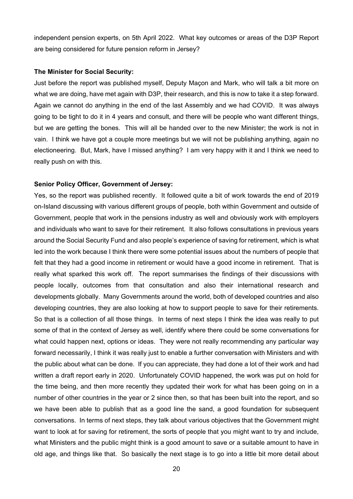independent pension experts, on 5th April 2022. What key outcomes or areas of the D3P Report are being considered for future pension reform in Jersey?

#### **The Minister for Social Security:**

Just before the report was published myself, Deputy Maçon and Mark, who will talk a bit more on what we are doing, have met again with D3P, their research, and this is now to take it a step forward. Again we cannot do anything in the end of the last Assembly and we had COVID. It was always going to be tight to do it in 4 years and consult, and there will be people who want different things, but we are getting the bones. This will all be handed over to the new Minister; the work is not in vain. I think we have got a couple more meetings but we will not be publishing anything, again no electioneering. But, Mark, have I missed anything? I am very happy with it and I think we need to really push on with this.

## **Senior Policy Officer, Government of Jersey:**

Yes, so the report was published recently. It followed quite a bit of work towards the end of 2019 on-Island discussing with various different groups of people, both within Government and outside of Government, people that work in the pensions industry as well and obviously work with employers and individuals who want to save for their retirement. It also follows consultations in previous years around the Social Security Fund and also people's experience of saving for retirement, which is what led into the work because I think there were some potential issues about the numbers of people that felt that they had a good income in retirement or would have a good income in retirement. That is really what sparked this work off. The report summarises the findings of their discussions with people locally, outcomes from that consultation and also their international research and developments globally. Many Governments around the world, both of developed countries and also developing countries, they are also looking at how to support people to save for their retirements. So that is a collection of all those things. In terms of next steps I think the idea was really to put some of that in the context of Jersey as well, identify where there could be some conversations for what could happen next, options or ideas. They were not really recommending any particular way forward necessarily, I think it was really just to enable a further conversation with Ministers and with the public about what can be done. If you can appreciate, they had done a lot of their work and had written a draft report early in 2020. Unfortunately COVID happened, the work was put on hold for the time being, and then more recently they updated their work for what has been going on in a number of other countries in the year or 2 since then, so that has been built into the report, and so we have been able to publish that as a good line the sand, a good foundation for subsequent conversations. In terms of next steps, they talk about various objectives that the Government might want to look at for saving for retirement, the sorts of people that you might want to try and include, what Ministers and the public might think is a good amount to save or a suitable amount to have in old age, and things like that. So basically the next stage is to go into a little bit more detail about

20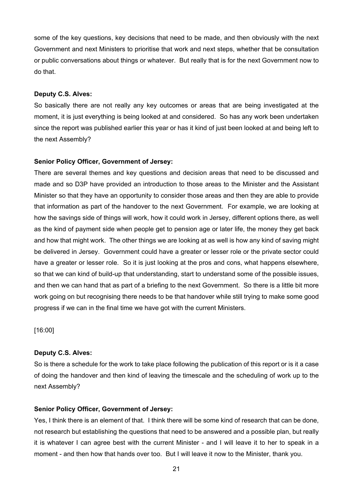some of the key questions, key decisions that need to be made, and then obviously with the next Government and next Ministers to prioritise that work and next steps, whether that be consultation or public conversations about things or whatever. But really that is for the next Government now to do that.

## **Deputy C.S. Alves:**

So basically there are not really any key outcomes or areas that are being investigated at the moment, it is just everything is being looked at and considered. So has any work been undertaken since the report was published earlier this year or has it kind of just been looked at and being left to the next Assembly?

#### **Senior Policy Officer, Government of Jersey:**

There are several themes and key questions and decision areas that need to be discussed and made and so D3P have provided an introduction to those areas to the Minister and the Assistant Minister so that they have an opportunity to consider those areas and then they are able to provide that information as part of the handover to the next Government. For example, we are looking at how the savings side of things will work, how it could work in Jersey, different options there, as well as the kind of payment side when people get to pension age or later life, the money they get back and how that might work. The other things we are looking at as well is how any kind of saving might be delivered in Jersey. Government could have a greater or lesser role or the private sector could have a greater or lesser role. So it is just looking at the pros and cons, what happens elsewhere, so that we can kind of build-up that understanding, start to understand some of the possible issues, and then we can hand that as part of a briefing to the next Government. So there is a little bit more work going on but recognising there needs to be that handover while still trying to make some good progress if we can in the final time we have got with the current Ministers.

[16:00]

## **Deputy C.S. Alves:**

So is there a schedule for the work to take place following the publication of this report or is it a case of doing the handover and then kind of leaving the timescale and the scheduling of work up to the next Assembly?

## **Senior Policy Officer, Government of Jersey:**

Yes, I think there is an element of that. I think there will be some kind of research that can be done, not research but establishing the questions that need to be answered and a possible plan, but really it is whatever I can agree best with the current Minister - and I will leave it to her to speak in a moment - and then how that hands over too. But I will leave it now to the Minister, thank you.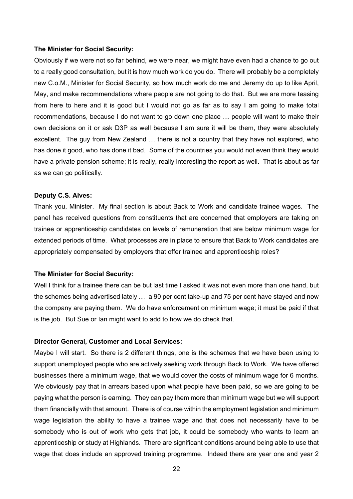#### **The Minister for Social Security:**

Obviously if we were not so far behind, we were near, we might have even had a chance to go out to a really good consultation, but it is how much work do you do. There will probably be a completely new C.o.M., Minister for Social Security, so how much work do me and Jeremy do up to like April, May, and make recommendations where people are not going to do that. But we are more teasing from here to here and it is good but I would not go as far as to say I am going to make total recommendations, because I do not want to go down one place … people will want to make their own decisions on it or ask D3P as well because I am sure it will be them, they were absolutely excellent. The guy from New Zealand … there is not a country that they have not explored, who has done it good, who has done it bad. Some of the countries you would not even think they would have a private pension scheme; it is really, really interesting the report as well. That is about as far as we can go politically.

#### **Deputy C.S. Alves:**

Thank you, Minister. My final section is about Back to Work and candidate trainee wages. The panel has received questions from constituents that are concerned that employers are taking on trainee or apprenticeship candidates on levels of remuneration that are below minimum wage for extended periods of time. What processes are in place to ensure that Back to Work candidates are appropriately compensated by employers that offer trainee and apprenticeship roles?

#### **The Minister for Social Security:**

Well I think for a trainee there can be but last time I asked it was not even more than one hand, but the schemes being advertised lately … a 90 per cent take-up and 75 per cent have stayed and now the company are paying them. We do have enforcement on minimum wage; it must be paid if that is the job. But Sue or Ian might want to add to how we do check that.

#### **Director General, Customer and Local Services:**

Maybe I will start. So there is 2 different things, one is the schemes that we have been using to support unemployed people who are actively seeking work through Back to Work. We have offered businesses there a minimum wage, that we would cover the costs of minimum wage for 6 months. We obviously pay that in arrears based upon what people have been paid, so we are going to be paying what the person is earning. They can pay them more than minimum wage but we will support them financially with that amount. There is of course within the employment legislation and minimum wage legislation the ability to have a trainee wage and that does not necessarily have to be somebody who is out of work who gets that job, it could be somebody who wants to learn an apprenticeship or study at Highlands. There are significant conditions around being able to use that wage that does include an approved training programme. Indeed there are year one and year 2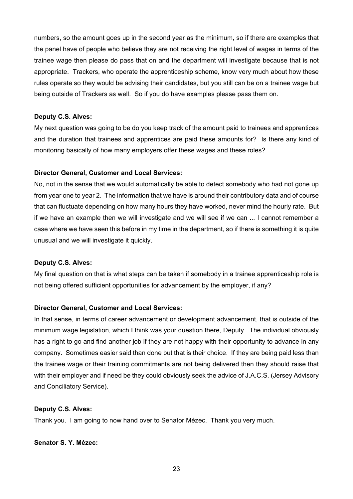numbers, so the amount goes up in the second year as the minimum, so if there are examples that the panel have of people who believe they are not receiving the right level of wages in terms of the trainee wage then please do pass that on and the department will investigate because that is not appropriate. Trackers, who operate the apprenticeship scheme, know very much about how these rules operate so they would be advising their candidates, but you still can be on a trainee wage but being outside of Trackers as well. So if you do have examples please pass them on.

## **Deputy C.S. Alves:**

My next question was going to be do you keep track of the amount paid to trainees and apprentices and the duration that trainees and apprentices are paid these amounts for? Is there any kind of monitoring basically of how many employers offer these wages and these roles?

#### **Director General, Customer and Local Services:**

No, not in the sense that we would automatically be able to detect somebody who had not gone up from year one to year 2. The information that we have is around their contributory data and of course that can fluctuate depending on how many hours they have worked, never mind the hourly rate. But if we have an example then we will investigate and we will see if we can ... I cannot remember a case where we have seen this before in my time in the department, so if there is something it is quite unusual and we will investigate it quickly.

## **Deputy C.S. Alves:**

My final question on that is what steps can be taken if somebody in a trainee apprenticeship role is not being offered sufficient opportunities for advancement by the employer, if any?

## **Director General, Customer and Local Services:**

In that sense, in terms of career advancement or development advancement, that is outside of the minimum wage legislation, which I think was your question there, Deputy. The individual obviously has a right to go and find another job if they are not happy with their opportunity to advance in any company. Sometimes easier said than done but that is their choice. If they are being paid less than the trainee wage or their training commitments are not being delivered then they should raise that with their employer and if need be they could obviously seek the advice of J.A.C.S. (Jersey Advisory and Conciliatory Service).

#### **Deputy C.S. Alves:**

Thank you. I am going to now hand over to Senator Mézec. Thank you very much.

#### **Senator S. Y. Mézec:**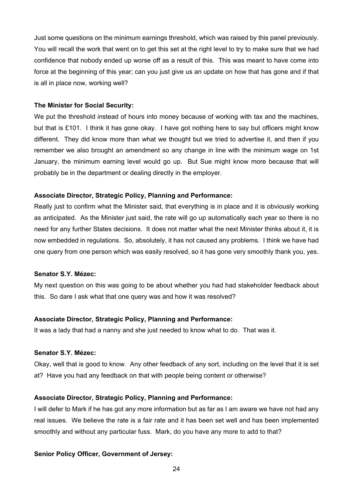Just some questions on the minimum earnings threshold, which was raised by this panel previously. You will recall the work that went on to get this set at the right level to try to make sure that we had confidence that nobody ended up worse off as a result of this. This was meant to have come into force at the beginning of this year; can you just give us an update on how that has gone and if that is all in place now, working well?

#### **The Minister for Social Security:**

We put the threshold instead of hours into money because of working with tax and the machines, but that is £101. I think it has gone okay. I have got nothing here to say but officers might know different. They did know more than what we thought but we tried to advertise it, and then if you remember we also brought an amendment so any change in line with the minimum wage on 1st January, the minimum earning level would go up. But Sue might know more because that will probably be in the department or dealing directly in the employer.

#### **Associate Director, Strategic Policy, Planning and Performance:**

Really just to confirm what the Minister said, that everything is in place and it is obviously working as anticipated. As the Minister just said, the rate will go up automatically each year so there is no need for any further States decisions. It does not matter what the next Minister thinks about it, it is now embedded in regulations. So, absolutely, it has not caused any problems. I think we have had one query from one person which was easily resolved, so it has gone very smoothly thank you, yes.

## **Senator S.Y. Mézec:**

My next question on this was going to be about whether you had had stakeholder feedback about this. So dare I ask what that one query was and how it was resolved?

#### **Associate Director, Strategic Policy, Planning and Performance:**

It was a lady that had a nanny and she just needed to know what to do. That was it.

## **Senator S.Y. Mézec:**

Okay, well that is good to know. Any other feedback of any sort, including on the level that it is set at? Have you had any feedback on that with people being content or otherwise?

#### **Associate Director, Strategic Policy, Planning and Performance:**

I will defer to Mark if he has got any more information but as far as I am aware we have not had any real issues. We believe the rate is a fair rate and it has been set well and has been implemented smoothly and without any particular fuss. Mark, do you have any more to add to that?

#### **Senior Policy Officer, Government of Jersey:**

24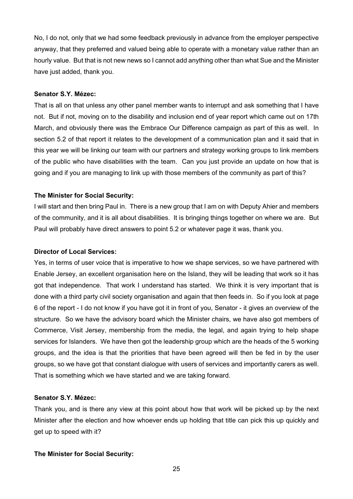No, I do not, only that we had some feedback previously in advance from the employer perspective anyway, that they preferred and valued being able to operate with a monetary value rather than an hourly value. But that is not new news so I cannot add anything other than what Sue and the Minister have just added, thank you.

## **Senator S.Y. Mézec:**

That is all on that unless any other panel member wants to interrupt and ask something that I have not. But if not, moving on to the disability and inclusion end of year report which came out on 17th March, and obviously there was the Embrace Our Difference campaign as part of this as well. In section 5.2 of that report it relates to the development of a communication plan and it said that in this year we will be linking our team with our partners and strategy working groups to link members of the public who have disabilities with the team. Can you just provide an update on how that is going and if you are managing to link up with those members of the community as part of this?

## **The Minister for Social Security:**

I will start and then bring Paul in. There is a new group that I am on with Deputy Ahier and members of the community, and it is all about disabilities. It is bringing things together on where we are. But Paul will probably have direct answers to point 5.2 or whatever page it was, thank you.

## **Director of Local Services:**

Yes, in terms of user voice that is imperative to how we shape services, so we have partnered with Enable Jersey, an excellent organisation here on the Island, they will be leading that work so it has got that independence. That work I understand has started. We think it is very important that is done with a third party civil society organisation and again that then feeds in. So if you look at page 6 of the report - I do not know if you have got it in front of you, Senator - it gives an overview of the structure. So we have the advisory board which the Minister chairs, we have also got members of Commerce, Visit Jersey, membership from the media, the legal, and again trying to help shape services for Islanders. We have then got the leadership group which are the heads of the 5 working groups, and the idea is that the priorities that have been agreed will then be fed in by the user groups, so we have got that constant dialogue with users of services and importantly carers as well. That is something which we have started and we are taking forward.

## **Senator S.Y. Mézec:**

Thank you, and is there any view at this point about how that work will be picked up by the next Minister after the election and how whoever ends up holding that title can pick this up quickly and get up to speed with it?

## **The Minister for Social Security:**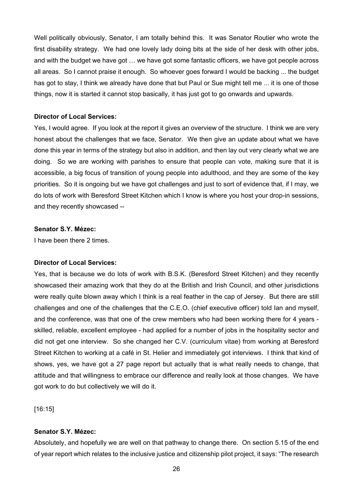Well politically obviously, Senator, I am totally behind this. It was Senator Routier who wrote the first disability strategy. We had one lovely lady doing bits at the side of her desk with other jobs, and with the budget we have got … we have got some fantastic officers, we have got people across all areas. So I cannot praise it enough. So whoever goes forward I would be backing ... the budget has got to stay, I think we already have done that but Paul or Sue might tell me ... it is one of those things, now it is started it cannot stop basically, it has just got to go onwards and upwards.

#### **Director of Local Services:**

Yes, I would agree. If you look at the report it gives an overview of the structure. I think we are very honest about the challenges that we face, Senator. We then give an update about what we have done this year in terms of the strategy but also in addition, and then lay out very clearly what we are doing. So we are working with parishes to ensure that people can vote, making sure that it is accessible, a big focus of transition of young people into adulthood, and they are some of the key priorities. So it is ongoing but we have got challenges and just to sort of evidence that, if I may, we do lots of work with Beresford Street Kitchen which I know is where you host your drop-in sessions, and they recently showcased --

#### **Senator S.Y. Mézec:**

I have been there 2 times.

## **Director of Local Services:**

Yes, that is because we do lots of work with B.S.K. (Beresford Street Kitchen) and they recently showcased their amazing work that they do at the British and Irish Council, and other jurisdictions were really quite blown away which I think is a real feather in the cap of Jersey. But there are still challenges and one of the challenges that the C.E.O. (chief executive officer) told Ian and myself, and the conference, was that one of the crew members who had been working there for 4 years skilled, reliable, excellent employee - had applied for a number of jobs in the hospitality sector and did not get one interview. So she changed her C.V. (curriculum vitae) from working at Beresford Street Kitchen to working at a café in St. Helier and immediately got interviews. I think that kind of shows, yes, we have got a 27 page report but actually that is what really needs to change, that attitude and that willingness to embrace our difference and really look at those changes. We have got work to do but collectively we will do it.

[16:15]

## **Senator S.Y. Mézec:**

Absolutely, and hopefully we are well on that pathway to change there. On section 5.15 of the end of year report which relates to the inclusive justice and citizenship pilot project, it says: "The research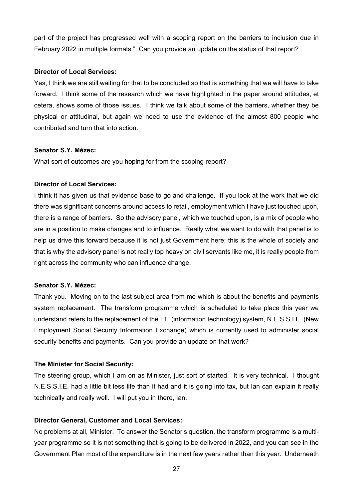part of the project has progressed well with a scoping report on the barriers to inclusion due in February 2022 in multiple formats." Can you provide an update on the status of that report?

## **Director of Local Services:**

Yes, I think we are still waiting for that to be concluded so that is something that we will have to take forward. I think some of the research which we have highlighted in the paper around attitudes, et cetera, shows some of those issues. I think we talk about some of the barriers, whether they be physical or attitudinal, but again we need to use the evidence of the almost 800 people who contributed and turn that into action.

## **Senator S.Y. Mézec:**

What sort of outcomes are you hoping for from the scoping report?

## **Director of Local Services:**

I think it has given us that evidence base to go and challenge. If you look at the work that we did there was significant concerns around access to retail, employment which I have just touched upon, there is a range of barriers. So the advisory panel, which we touched upon, is a mix of people who are in a position to make changes and to influence. Really what we want to do with that panel is to help us drive this forward because it is not just Government here; this is the whole of society and that is why the advisory panel is not really top heavy on civil servants like me, it is really people from right across the community who can influence change.

## **Senator S.Y. Mézec:**

Thank you. Moving on to the last subject area from me which is about the benefits and payments system replacement. The transform programme which is scheduled to take place this year we understand refers to the replacement of the I.T. (information technology) system, N.E.S.S.I.E. (New Employment Social Security Information Exchange) which is currently used to administer social security benefits and payments. Can you provide an update on that work?

## **The Minister for Social Security:**

The steering group, which I am on as Minister, just sort of started. It is very technical. I thought N.E.S.S.I.E. had a little bit less life than it had and it is going into tax, but Ian can explain it really technically and really well. I will put you in there, Ian.

## **Director General, Customer and Local Services:**

No problems at all, Minister. To answer the Senator's question, the transform programme is a multiyear programme so it is not something that is going to be delivered in 2022, and you can see in the Government Plan most of the expenditure is in the next few years rather than this year. Underneath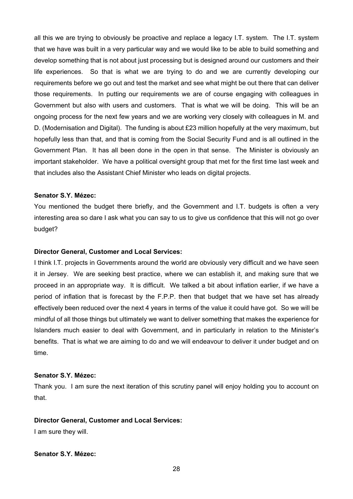all this we are trying to obviously be proactive and replace a legacy I.T. system. The I.T. system that we have was built in a very particular way and we would like to be able to build something and develop something that is not about just processing but is designed around our customers and their life experiences. So that is what we are trying to do and we are currently developing our requirements before we go out and test the market and see what might be out there that can deliver those requirements. In putting our requirements we are of course engaging with colleagues in Government but also with users and customers. That is what we will be doing. This will be an ongoing process for the next few years and we are working very closely with colleagues in M. and D. (Modernisation and Digital). The funding is about £23 million hopefully at the very maximum, but hopefully less than that, and that is coming from the Social Security Fund and is all outlined in the Government Plan. It has all been done in the open in that sense. The Minister is obviously an important stakeholder. We have a political oversight group that met for the first time last week and that includes also the Assistant Chief Minister who leads on digital projects.

#### **Senator S.Y. Mézec:**

You mentioned the budget there briefly, and the Government and I.T. budgets is often a very interesting area so dare I ask what you can say to us to give us confidence that this will not go over budget?

## **Director General, Customer and Local Services:**

I think I.T. projects in Governments around the world are obviously very difficult and we have seen it in Jersey. We are seeking best practice, where we can establish it, and making sure that we proceed in an appropriate way. It is difficult. We talked a bit about inflation earlier, if we have a period of inflation that is forecast by the F.P.P. then that budget that we have set has already effectively been reduced over the next 4 years in terms of the value it could have got. So we will be mindful of all those things but ultimately we want to deliver something that makes the experience for Islanders much easier to deal with Government, and in particularly in relation to the Minister's benefits. That is what we are aiming to do and we will endeavour to deliver it under budget and on time.

## **Senator S.Y. Mézec:**

Thank you. I am sure the next iteration of this scrutiny panel will enjoy holding you to account on that.

#### **Director General, Customer and Local Services:**

I am sure they will.

## **Senator S.Y. Mézec:**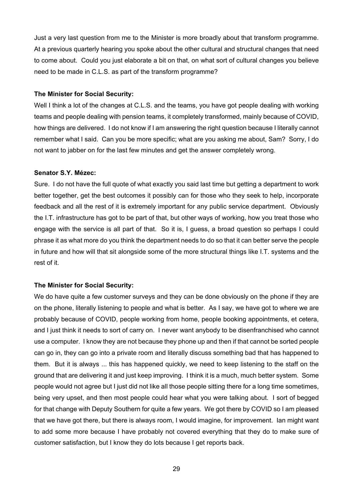Just a very last question from me to the Minister is more broadly about that transform programme. At a previous quarterly hearing you spoke about the other cultural and structural changes that need to come about. Could you just elaborate a bit on that, on what sort of cultural changes you believe need to be made in C.L.S. as part of the transform programme?

#### **The Minister for Social Security:**

Well I think a lot of the changes at C.L.S. and the teams, you have got people dealing with working teams and people dealing with pension teams, it completely transformed, mainly because of COVID, how things are delivered. I do not know if I am answering the right question because I literally cannot remember what I said. Can you be more specific; what are you asking me about, Sam? Sorry, I do not want to jabber on for the last few minutes and get the answer completely wrong.

#### **Senator S.Y. Mézec:**

Sure. I do not have the full quote of what exactly you said last time but getting a department to work better together, get the best outcomes it possibly can for those who they seek to help, incorporate feedback and all the rest of it is extremely important for any public service department. Obviously the I.T. infrastructure has got to be part of that, but other ways of working, how you treat those who engage with the service is all part of that. So it is, I guess, a broad question so perhaps I could phrase it as what more do you think the department needs to do so that it can better serve the people in future and how will that sit alongside some of the more structural things like I.T. systems and the rest of it.

#### **The Minister for Social Security:**

We do have quite a few customer surveys and they can be done obviously on the phone if they are on the phone, literally listening to people and what is better. As I say, we have got to where we are probably because of COVID, people working from home, people booking appointments, et cetera, and I just think it needs to sort of carry on. I never want anybody to be disenfranchised who cannot use a computer. I know they are not because they phone up and then if that cannot be sorted people can go in, they can go into a private room and literally discuss something bad that has happened to them. But it is always ... this has happened quickly, we need to keep listening to the staff on the ground that are delivering it and just keep improving. I think it is a much, much better system. Some people would not agree but I just did not like all those people sitting there for a long time sometimes, being very upset, and then most people could hear what you were talking about. I sort of begged for that change with Deputy Southern for quite a few years. We got there by COVID so I am pleased that we have got there, but there is always room, I would imagine, for improvement. Ian might want to add some more because I have probably not covered everything that they do to make sure of customer satisfaction, but I know they do lots because I get reports back.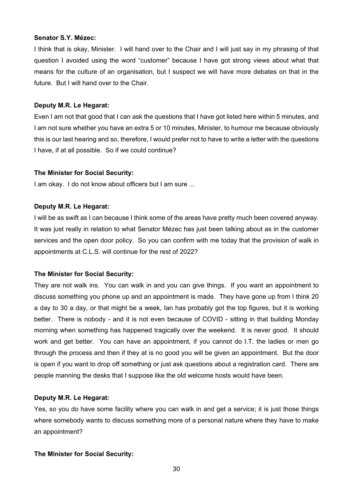#### **Senator S.Y. Mézec:**

I think that is okay, Minister. I will hand over to the Chair and I will just say in my phrasing of that question I avoided using the word "customer" because I have got strong views about what that means for the culture of an organisation, but I suspect we will have more debates on that in the future. But I will hand over to the Chair.

## **Deputy M.R. Le Hegarat:**

Even I am not that good that I can ask the questions that I have got listed here within 5 minutes, and I am not sure whether you have an extra 5 or 10 minutes, Minister, to humour me because obviously this is our last hearing and so, therefore, I would prefer not to have to write a letter with the questions I have, if at all possible. So if we could continue?

## **The Minister for Social Security:**

I am okay. I do not know about officers but I am sure ...

## **Deputy M.R. Le Hegarat:**

I will be as swift as I can because I think some of the areas have pretty much been covered anyway. It was just really in relation to what Senator Mézec has just been talking about as in the customer services and the open door policy. So you can confirm with me today that the provision of walk in appointments at C.L.S. will continue for the rest of 2022?

## **The Minister for Social Security:**

They are not walk ins. You can walk in and you can give things. If you want an appointment to discuss something you phone up and an appointment is made. They have gone up from I think 20 a day to 30 a day, or that might be a week, Ian has probably got the top figures, but it is working better. There is nobody - and it is not even because of COVID - sitting in that building Monday morning when something has happened tragically over the weekend. It is never good. It should work and get better. You can have an appointment, if you cannot do I.T. the ladies or men go through the process and then if they at is no good you will be given an appointment. But the door is open if you want to drop off something or just ask questions about a registration card. There are people manning the desks that I suppose like the old welcome hosts would have been.

## **Deputy M.R. Le Hegarat:**

Yes, so you do have some facility where you can walk in and get a service; it is just those things where somebody wants to discuss something more of a personal nature where they have to make an appointment?

## **The Minister for Social Security:**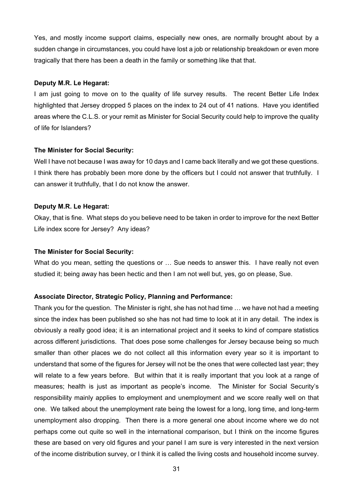Yes, and mostly income support claims, especially new ones, are normally brought about by a sudden change in circumstances, you could have lost a job or relationship breakdown or even more tragically that there has been a death in the family or something like that that.

## **Deputy M.R. Le Hegarat:**

I am just going to move on to the quality of life survey results. The recent Better Life Index highlighted that Jersey dropped 5 places on the index to 24 out of 41 nations. Have you identified areas where the C.L.S. or your remit as Minister for Social Security could help to improve the quality of life for Islanders?

## **The Minister for Social Security:**

Well I have not because I was away for 10 days and I came back literally and we got these questions. I think there has probably been more done by the officers but I could not answer that truthfully. I can answer it truthfully, that I do not know the answer.

## **Deputy M.R. Le Hegarat:**

Okay, that is fine. What steps do you believe need to be taken in order to improve for the next Better Life index score for Jersey? Any ideas?

## **The Minister for Social Security:**

What do you mean, setting the questions or ... Sue needs to answer this. I have really not even studied it; being away has been hectic and then I am not well but, yes, go on please, Sue.

## **Associate Director, Strategic Policy, Planning and Performance:**

Thank you for the question. The Minister is right, she has not had time … we have not had a meeting since the index has been published so she has not had time to look at it in any detail. The index is obviously a really good idea; it is an international project and it seeks to kind of compare statistics across different jurisdictions. That does pose some challenges for Jersey because being so much smaller than other places we do not collect all this information every year so it is important to understand that some of the figures for Jersey will not be the ones that were collected last year; they will relate to a few years before. But within that it is really important that you look at a range of measures; health is just as important as people's income. The Minister for Social Security's responsibility mainly applies to employment and unemployment and we score really well on that one. We talked about the unemployment rate being the lowest for a long, long time, and long-term unemployment also dropping. Then there is a more general one about income where we do not perhaps come out quite so well in the international comparison, but I think on the income figures these are based on very old figures and your panel I am sure is very interested in the next version of the income distribution survey, or I think it is called the living costs and household income survey.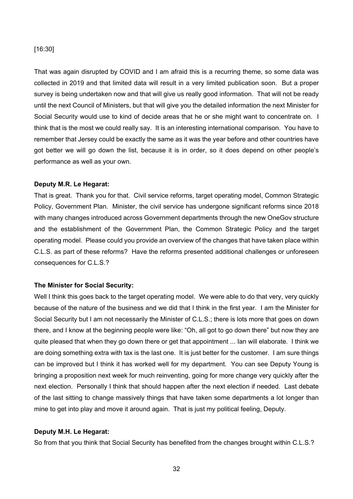## [16:30]

That was again disrupted by COVID and I am afraid this is a recurring theme, so some data was collected in 2019 and that limited data will result in a very limited publication soon. But a proper survey is being undertaken now and that will give us really good information. That will not be ready until the next Council of Ministers, but that will give you the detailed information the next Minister for Social Security would use to kind of decide areas that he or she might want to concentrate on. I think that is the most we could really say. It is an interesting international comparison. You have to remember that Jersey could be exactly the same as it was the year before and other countries have got better we will go down the list, because it is in order, so it does depend on other people's performance as well as your own.

#### **Deputy M.R. Le Hegarat:**

That is great. Thank you for that. Civil service reforms, target operating model, Common Strategic Policy, Government Plan. Minister, the civil service has undergone significant reforms since 2018 with many changes introduced across Government departments through the new OneGov structure and the establishment of the Government Plan, the Common Strategic Policy and the target operating model. Please could you provide an overview of the changes that have taken place within C.L.S. as part of these reforms? Have the reforms presented additional challenges or unforeseen consequences for C.L.S.?

## **The Minister for Social Security:**

Well I think this goes back to the target operating model. We were able to do that very, very quickly because of the nature of the business and we did that I think in the first year. I am the Minister for Social Security but I am not necessarily the Minister of C.L.S.; there is lots more that goes on down there, and I know at the beginning people were like: "Oh, all got to go down there" but now they are quite pleased that when they go down there or get that appointment ... Ian will elaborate. I think we are doing something extra with tax is the last one. It is just better for the customer. I am sure things can be improved but I think it has worked well for my department. You can see Deputy Young is bringing a proposition next week for much reinventing, going for more change very quickly after the next election. Personally I think that should happen after the next election if needed. Last debate of the last sitting to change massively things that have taken some departments a lot longer than mine to get into play and move it around again. That is just my political feeling, Deputy.

## **Deputy M.H. Le Hegarat:**

So from that you think that Social Security has benefited from the changes brought within C.L.S.?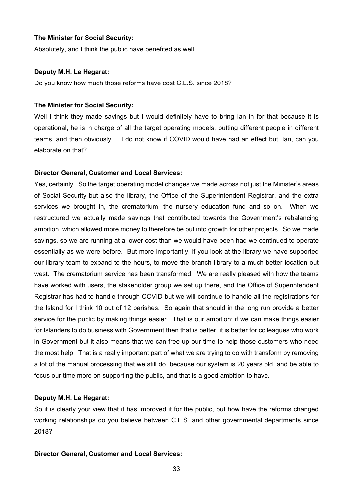## **The Minister for Social Security:**

Absolutely, and I think the public have benefited as well.

#### **Deputy M.H. Le Hegarat:**

Do you know how much those reforms have cost C.L.S. since 2018?

#### **The Minister for Social Security:**

Well I think they made savings but I would definitely have to bring Ian in for that because it is operational, he is in charge of all the target operating models, putting different people in different teams, and then obviously ... I do not know if COVID would have had an effect but, Ian, can you elaborate on that?

#### **Director General, Customer and Local Services:**

Yes, certainly. So the target operating model changes we made across not just the Minister's areas of Social Security but also the library, the Office of the Superintendent Registrar, and the extra services we brought in, the crematorium, the nursery education fund and so on. When we restructured we actually made savings that contributed towards the Government's rebalancing ambition, which allowed more money to therefore be put into growth for other projects. So we made savings, so we are running at a lower cost than we would have been had we continued to operate essentially as we were before. But more importantly, if you look at the library we have supported our library team to expand to the hours, to move the branch library to a much better location out west. The crematorium service has been transformed. We are really pleased with how the teams have worked with users, the stakeholder group we set up there, and the Office of Superintendent Registrar has had to handle through COVID but we will continue to handle all the registrations for the Island for I think 10 out of 12 parishes. So again that should in the long run provide a better service for the public by making things easier. That is our ambition; if we can make things easier for Islanders to do business with Government then that is better, it is better for colleagues who work in Government but it also means that we can free up our time to help those customers who need the most help. That is a really important part of what we are trying to do with transform by removing a lot of the manual processing that we still do, because our system is 20 years old, and be able to focus our time more on supporting the public, and that is a good ambition to have.

#### **Deputy M.H. Le Hegarat:**

So it is clearly your view that it has improved it for the public, but how have the reforms changed working relationships do you believe between C.L.S. and other governmental departments since 2018?

#### **Director General, Customer and Local Services:**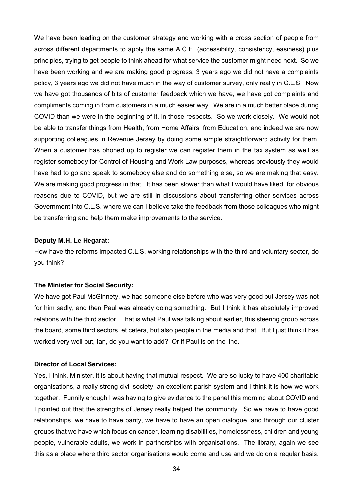We have been leading on the customer strategy and working with a cross section of people from across different departments to apply the same A.C.E. (accessibility, consistency, easiness) plus principles, trying to get people to think ahead for what service the customer might need next. So we have been working and we are making good progress; 3 years ago we did not have a complaints policy, 3 years ago we did not have much in the way of customer survey, only really in C.L.S. Now we have got thousands of bits of customer feedback which we have, we have got complaints and compliments coming in from customers in a much easier way. We are in a much better place during COVID than we were in the beginning of it, in those respects. So we work closely. We would not be able to transfer things from Health, from Home Affairs, from Education, and indeed we are now supporting colleagues in Revenue Jersey by doing some simple straightforward activity for them. When a customer has phoned up to register we can register them in the tax system as well as register somebody for Control of Housing and Work Law purposes, whereas previously they would have had to go and speak to somebody else and do something else, so we are making that easy. We are making good progress in that. It has been slower than what I would have liked, for obvious reasons due to COVID, but we are still in discussions about transferring other services across Government into C.L.S. where we can I believe take the feedback from those colleagues who might be transferring and help them make improvements to the service.

## **Deputy M.H. Le Hegarat:**

How have the reforms impacted C.L.S. working relationships with the third and voluntary sector, do you think?

## **The Minister for Social Security:**

We have got Paul McGinnety, we had someone else before who was very good but Jersey was not for him sadly, and then Paul was already doing something. But I think it has absolutely improved relations with the third sector. That is what Paul was talking about earlier, this steering group across the board, some third sectors, et cetera, but also people in the media and that. But I just think it has worked very well but, Ian, do you want to add? Or if Paul is on the line.

## **Director of Local Services:**

Yes, I think, Minister, it is about having that mutual respect. We are so lucky to have 400 charitable organisations, a really strong civil society, an excellent parish system and I think it is how we work together. Funnily enough I was having to give evidence to the panel this morning about COVID and I pointed out that the strengths of Jersey really helped the community. So we have to have good relationships, we have to have parity, we have to have an open dialogue, and through our cluster groups that we have which focus on cancer, learning disabilities, homelessness, children and young people, vulnerable adults, we work in partnerships with organisations. The library, again we see this as a place where third sector organisations would come and use and we do on a regular basis.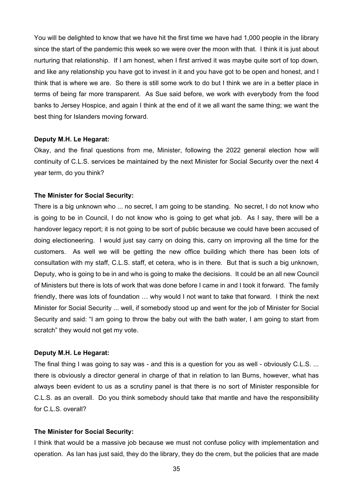You will be delighted to know that we have hit the first time we have had 1,000 people in the library since the start of the pandemic this week so we were over the moon with that. I think it is just about nurturing that relationship. If I am honest, when I first arrived it was maybe quite sort of top down, and like any relationship you have got to invest in it and you have got to be open and honest, and I think that is where we are. So there is still some work to do but I think we are in a better place in terms of being far more transparent. As Sue said before, we work with everybody from the food banks to Jersey Hospice, and again I think at the end of it we all want the same thing; we want the best thing for Islanders moving forward.

## **Deputy M.H. Le Hegarat:**

Okay, and the final questions from me, Minister, following the 2022 general election how will continuity of C.L.S. services be maintained by the next Minister for Social Security over the next 4 year term, do you think?

#### **The Minister for Social Security:**

There is a big unknown who ... no secret, I am going to be standing. No secret, I do not know who is going to be in Council, I do not know who is going to get what job. As I say, there will be a handover legacy report; it is not going to be sort of public because we could have been accused of doing electioneering. I would just say carry on doing this, carry on improving all the time for the customers. As well we will be getting the new office building which there has been lots of consultation with my staff, C.L.S. staff, et cetera, who is in there. But that is such a big unknown, Deputy, who is going to be in and who is going to make the decisions. It could be an all new Council of Ministers but there is lots of work that was done before I came in and I took it forward. The family friendly, there was lots of foundation … why would I not want to take that forward. I think the next Minister for Social Security ... well, if somebody stood up and went for the job of Minister for Social Security and said: "I am going to throw the baby out with the bath water, I am going to start from scratch" they would not get my vote.

## **Deputy M.H. Le Hegarat:**

The final thing I was going to say was - and this is a question for you as well - obviously C.L.S. ... there is obviously a director general in charge of that in relation to Ian Burns, however, what has always been evident to us as a scrutiny panel is that there is no sort of Minister responsible for C.L.S. as an overall. Do you think somebody should take that mantle and have the responsibility for C.L.S. overall?

#### **The Minister for Social Security:**

I think that would be a massive job because we must not confuse policy with implementation and operation. As Ian has just said, they do the library, they do the crem, but the policies that are made

35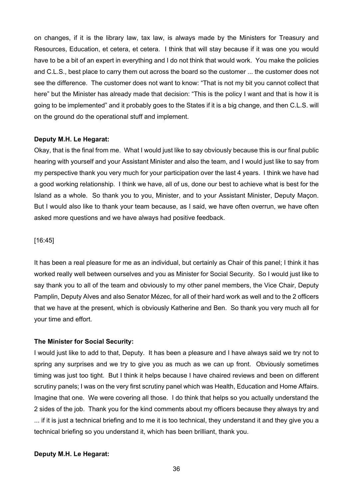on changes, if it is the library law, tax law, is always made by the Ministers for Treasury and Resources, Education, et cetera, et cetera. I think that will stay because if it was one you would have to be a bit of an expert in everything and I do not think that would work. You make the policies and C.L.S., best place to carry them out across the board so the customer ... the customer does not see the difference. The customer does not want to know: "That is not my bit you cannot collect that here" but the Minister has already made that decision: "This is the policy I want and that is how it is going to be implemented" and it probably goes to the States if it is a big change, and then C.L.S. will on the ground do the operational stuff and implement.

## **Deputy M.H. Le Hegarat:**

Okay, that is the final from me. What I would just like to say obviously because this is our final public hearing with yourself and your Assistant Minister and also the team, and I would just like to say from my perspective thank you very much for your participation over the last 4 years. I think we have had a good working relationship. I think we have, all of us, done our best to achieve what is best for the Island as a whole. So thank you to you, Minister, and to your Assistant Minister, Deputy Maçon. But I would also like to thank your team because, as I said, we have often overrun, we have often asked more questions and we have always had positive feedback.

## [16:45]

It has been a real pleasure for me as an individual, but certainly as Chair of this panel; I think it has worked really well between ourselves and you as Minister for Social Security. So I would just like to say thank you to all of the team and obviously to my other panel members, the Vice Chair, Deputy Pamplin, Deputy Alves and also Senator Mézec, for all of their hard work as well and to the 2 officers that we have at the present, which is obviously Katherine and Ben. So thank you very much all for your time and effort.

## **The Minister for Social Security:**

I would just like to add to that, Deputy. It has been a pleasure and I have always said we try not to spring any surprises and we try to give you as much as we can up front. Obviously sometimes timing was just too tight. But I think it helps because I have chaired reviews and been on different scrutiny panels; I was on the very first scrutiny panel which was Health, Education and Home Affairs. Imagine that one. We were covering all those. I do think that helps so you actually understand the 2 sides of the job. Thank you for the kind comments about my officers because they always try and ... if it is just a technical briefing and to me it is too technical, they understand it and they give you a technical briefing so you understand it, which has been brilliant, thank you.

## **Deputy M.H. Le Hegarat:**